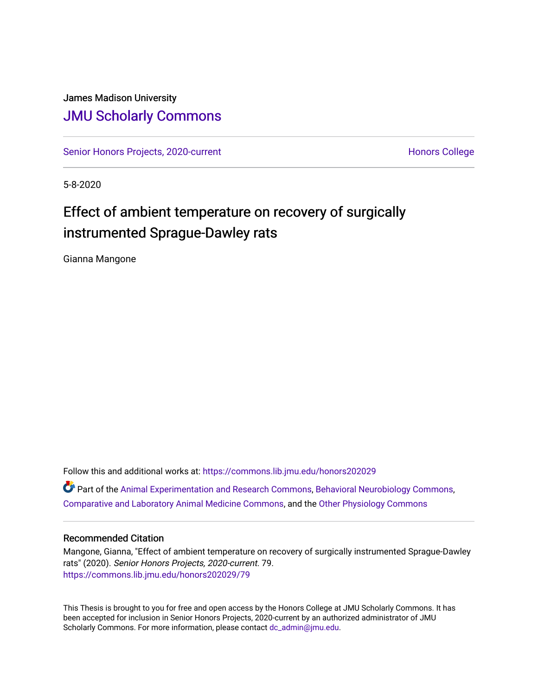# James Madison University [JMU Scholarly Commons](https://commons.lib.jmu.edu/)

[Senior Honors Projects, 2020-current](https://commons.lib.jmu.edu/honors202029) North [Honors College](https://commons.lib.jmu.edu/honors) Honors College

5-8-2020

# Effect of ambient temperature on recovery of surgically instrumented Sprague-Dawley rats

Gianna Mangone

Follow this and additional works at: [https://commons.lib.jmu.edu/honors202029](https://commons.lib.jmu.edu/honors202029?utm_source=commons.lib.jmu.edu%2Fhonors202029%2F79&utm_medium=PDF&utm_campaign=PDFCoverPages) Part of the [Animal Experimentation and Research Commons,](http://network.bepress.com/hgg/discipline/1390?utm_source=commons.lib.jmu.edu%2Fhonors202029%2F79&utm_medium=PDF&utm_campaign=PDFCoverPages) [Behavioral Neurobiology Commons,](http://network.bepress.com/hgg/discipline/56?utm_source=commons.lib.jmu.edu%2Fhonors202029%2F79&utm_medium=PDF&utm_campaign=PDFCoverPages) [Comparative and Laboratory Animal Medicine Commons](http://network.bepress.com/hgg/discipline/768?utm_source=commons.lib.jmu.edu%2Fhonors202029%2F79&utm_medium=PDF&utm_campaign=PDFCoverPages), and the [Other Physiology Commons](http://network.bepress.com/hgg/discipline/75?utm_source=commons.lib.jmu.edu%2Fhonors202029%2F79&utm_medium=PDF&utm_campaign=PDFCoverPages) 

# Recommended Citation

Mangone, Gianna, "Effect of ambient temperature on recovery of surgically instrumented Sprague-Dawley rats" (2020). Senior Honors Projects, 2020-current. 79. [https://commons.lib.jmu.edu/honors202029/79](https://commons.lib.jmu.edu/honors202029/79?utm_source=commons.lib.jmu.edu%2Fhonors202029%2F79&utm_medium=PDF&utm_campaign=PDFCoverPages) 

This Thesis is brought to you for free and open access by the Honors College at JMU Scholarly Commons. It has been accepted for inclusion in Senior Honors Projects, 2020-current by an authorized administrator of JMU Scholarly Commons. For more information, please contact [dc\\_admin@jmu.edu.](mailto:dc_admin@jmu.edu)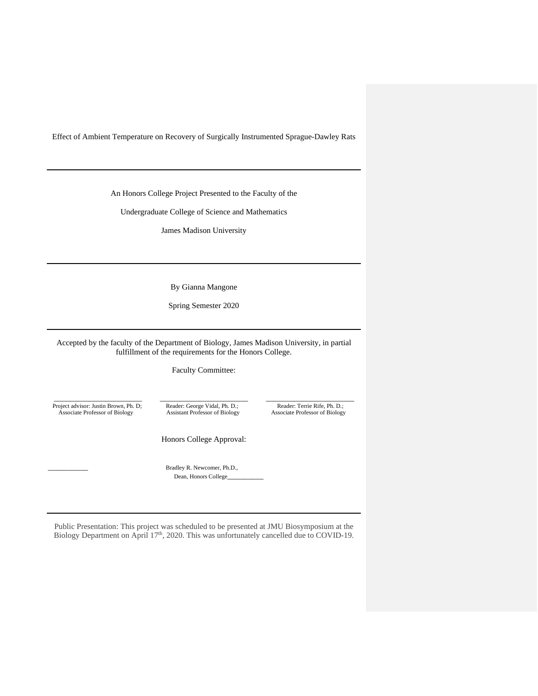Effect of Ambient Temperature on Recovery of Surgically Instrumented Sprague-Dawley Rats

An Honors College Project Presented to the Faculty of the

Undergraduate College of Science and Mathematics

James Madison University

By Gianna Mangone

Spring Semester 2020

Accepted by the faculty of the Department of Biology, James Madison University, in partial fulfillment of the requirements for the Honors College.

Faculty Committee:

Project advisor: Justin Brown, Ph. D;<br>
Associate Professor of Biology<br>
Associate Professor of Biology<br>
Associate Professor of Biology<br>
Associate Professor of Biology<br>
Associate Professor of Biology

\_\_\_\_\_\_\_\_\_\_\_\_\_\_\_\_\_\_\_\_\_\_ \_\_\_\_\_\_\_\_\_\_\_\_\_\_\_\_\_\_\_\_\_\_ \_\_\_\_\_\_\_\_\_\_\_\_\_\_\_\_\_\_\_\_\_\_ Associate Professor of Biology

Honors College Approval:

Bradley R. Newcomer, Ph.D., Dean, Honors College\_

Public Presentation: This project was scheduled to be presented at JMU Biosymposium at the Biology Department on April 17<sup>th</sup>, 2020. This was unfortunately cancelled due to COVID-19.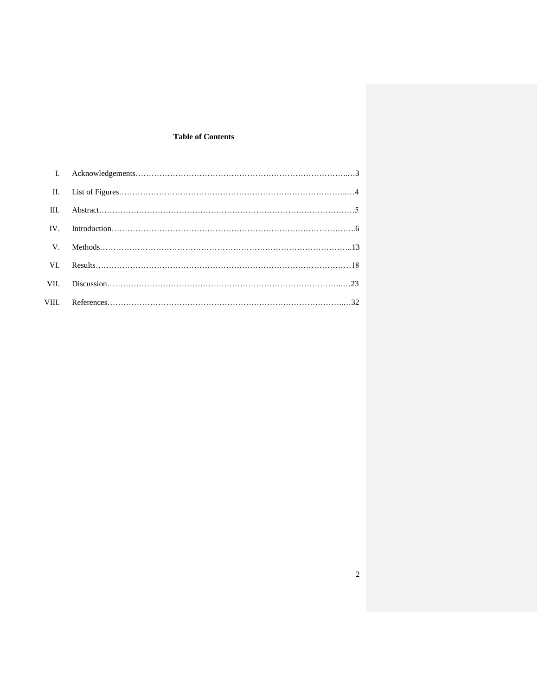# **Table of Contents**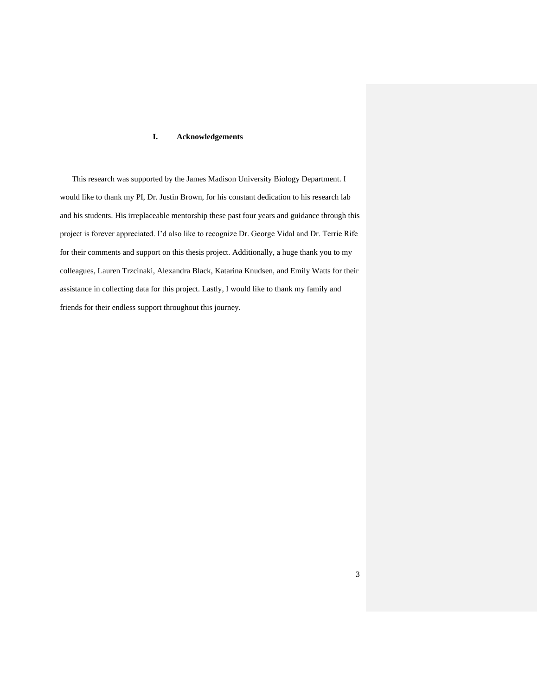# **I. Acknowledgements**

This research was supported by the James Madison University Biology Department. I would like to thank my PI, Dr. Justin Brown, for his constant dedication to his research lab and his students. His irreplaceable mentorship these past four years and guidance through this project is forever appreciated. I'd also like to recognize Dr. George Vidal and Dr. Terrie Rife for their comments and support on this thesis project. Additionally, a huge thank you to my colleagues, Lauren Trzcinaki, Alexandra Black, Katarina Knudsen, and Emily Watts for their assistance in collecting data for this project. Lastly, I would like to thank my family and friends for their endless support throughout this journey.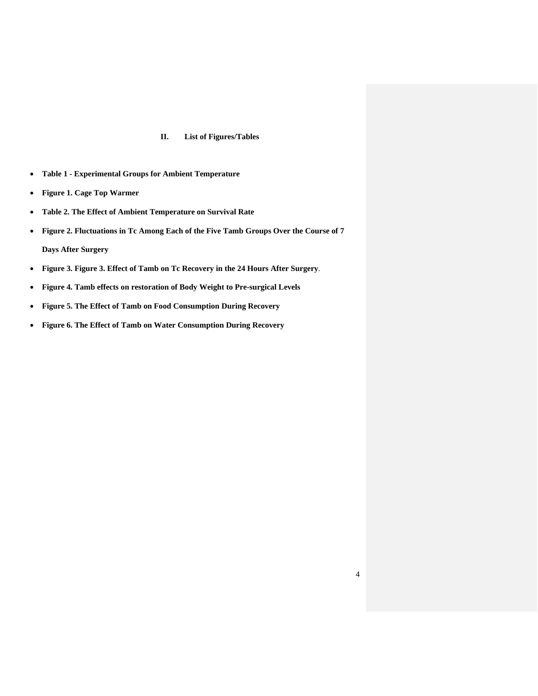### **II. List of Figures/Tables**

- **Table 1 - Experimental Groups for Ambient Temperature**
- **Figure 1. Cage Top Warmer**
- **Table 2. The Effect of Ambient Temperature on Survival Rate**
- **Figure 2. Fluctuations in Tc Among Each of the Five Tamb Groups Over the Course of 7 Days After Surgery**
- **Figure 3. Figure 3. Effect of Tamb on Tc Recovery in the 24 Hours After Surgery**.
- **Figure 4. Tamb effects on restoration of Body Weight to Pre-surgical Levels**
- **Figure 5. The Effect of Tamb on Food Consumption During Recovery**
- **Figure 6. The Effect of Tamb on Water Consumption During Recovery**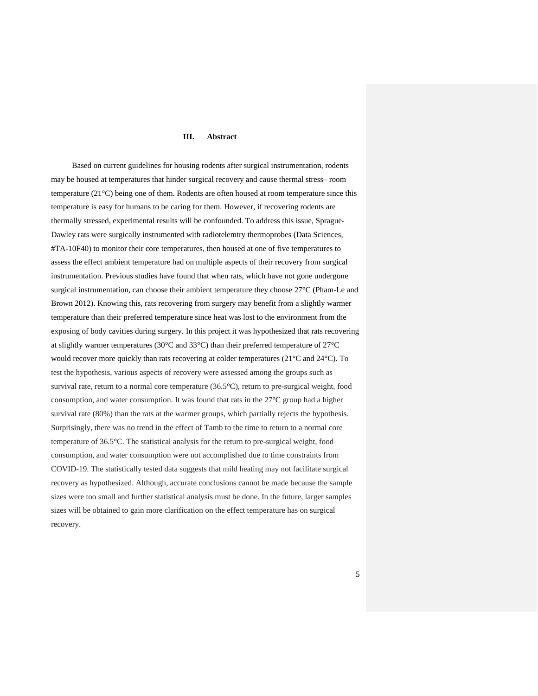#### **III. Abstract**

Based on current guidelines for housing rodents after surgical instrumentation, rodents may be housed at temperatures that hinder surgical recovery and cause thermal stress– room temperature (21°C) being one of them. Rodents are often housed at room temperature since this temperature is easy for humans to be caring for them. However, if recovering rodents are thermally stressed, experimental results will be confounded. To address this issue, Sprague-Dawley rats were surgically instrumented with radiotelemtry thermoprobes (Data Sciences, #TA-10F40) to monitor their core temperatures, then housed at one of five temperatures to assess the effect ambient temperature had on multiple aspects of their recovery from surgical instrumentation. Previous studies have found that when rats, which have not gone undergone surgical instrumentation, can choose their ambient temperature they choose 27°C (Pham-Le and Brown 2012). Knowing this, rats recovering from surgery may benefit from a slightly warmer temperature than their preferred temperature since heat was lost to the environment from the exposing of body cavities during surgery. In this project it was hypothesized that rats recovering at slightly warmer temperatures (30°C and 33°C) than their preferred temperature of 27°C would recover more quickly than rats recovering at colder temperatures (21°C and 24°C). To test the hypothesis, various aspects of recovery were assessed among the groups such as survival rate, return to a normal core temperature (36.5°C), return to pre-surgical weight, food consumption, and water consumption. It was found that rats in the 27°C group had a higher survival rate (80%) than the rats at the warmer groups, which partially rejects the hypothesis. Surprisingly, there was no trend in the effect of Tamb to the time to return to a normal core temperature of 36.5°C. The statistical analysis for the return to pre-surgical weight, food consumption, and water consumption were not accomplished due to time constraints from COVID-19. The statistically tested data suggests that mild heating may not facilitate surgical recovery as hypothesized. Although, accurate conclusions cannot be made because the sample sizes were too small and further statistical analysis must be done. In the future, larger samples sizes will be obtained to gain more clarification on the effect temperature has on surgical recovery.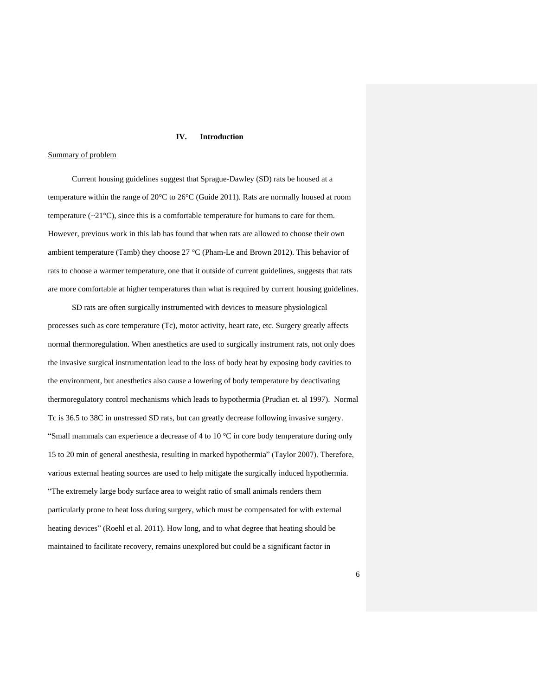#### **IV. Introduction**

#### Summary of problem

Current housing guidelines suggest that Sprague-Dawley (SD) rats be housed at a temperature within the range of 20°C to 26°C (Guide 2011). Rats are normally housed at room temperature  $(\sim 21^{\circ}\text{C})$ , since this is a comfortable temperature for humans to care for them. However, previous work in this lab has found that when rats are allowed to choose their own ambient temperature (Tamb) they choose  $27 \text{ °C}$  (Pham-Le and Brown 2012). This behavior of rats to choose a warmer temperature, one that it outside of current guidelines, suggests that rats are more comfortable at higher temperatures than what is required by current housing guidelines.

SD rats are often surgically instrumented with devices to measure physiological processes such as core temperature (Tc), motor activity, heart rate, etc. Surgery greatly affects normal thermoregulation. When anesthetics are used to surgically instrument rats, not only does the invasive surgical instrumentation lead to the loss of body heat by exposing body cavities to the environment, but anesthetics also cause a lowering of body temperature by deactivating thermoregulatory control mechanisms which leads to hypothermia (Prudian et. al 1997). Normal Tc is 36.5 to 38C in unstressed SD rats, but can greatly decrease following invasive surgery. "Small mammals can experience a decrease of 4 to 10  $^{\circ}$ C in core body temperature during only 15 to 20 min of general anesthesia, resulting in marked hypothermia" (Taylor 2007). Therefore, various external heating sources are used to help mitigate the surgically induced hypothermia. "The extremely large body surface area to weight ratio of small animals renders them particularly prone to heat loss during surgery, which must be compensated for with external heating devices" (Roehl et al. 2011). How long, and to what degree that heating should be maintained to facilitate recovery, remains unexplored but could be a significant factor in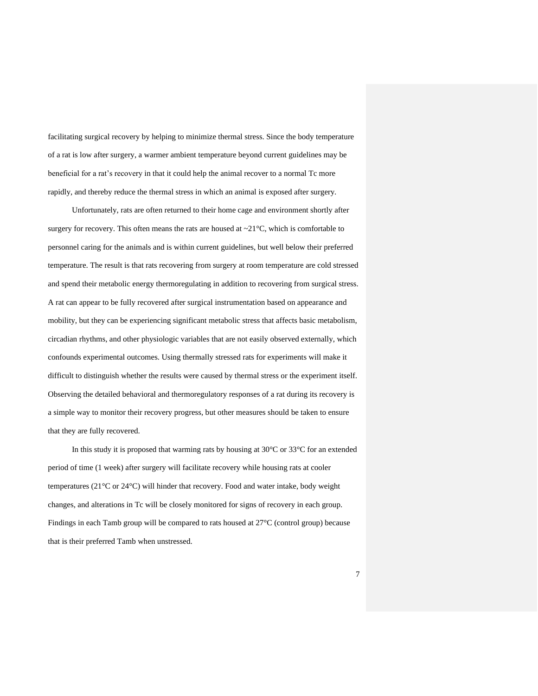facilitating surgical recovery by helping to minimize thermal stress. Since the body temperature of a rat is low after surgery, a warmer ambient temperature beyond current guidelines may be beneficial for a rat's recovery in that it could help the animal recover to a normal Tc more rapidly, and thereby reduce the thermal stress in which an animal is exposed after surgery.

Unfortunately, rats are often returned to their home cage and environment shortly after surgery for recovery. This often means the rats are housed at  $\sim$ 21 $\degree$ C, which is comfortable to personnel caring for the animals and is within current guidelines, but well below their preferred temperature. The result is that rats recovering from surgery at room temperature are cold stressed and spend their metabolic energy thermoregulating in addition to recovering from surgical stress. A rat can appear to be fully recovered after surgical instrumentation based on appearance and mobility, but they can be experiencing significant metabolic stress that affects basic metabolism, circadian rhythms, and other physiologic variables that are not easily observed externally, which confounds experimental outcomes. Using thermally stressed rats for experiments will make it difficult to distinguish whether the results were caused by thermal stress or the experiment itself. Observing the detailed behavioral and thermoregulatory responses of a rat during its recovery is a simple way to monitor their recovery progress, but other measures should be taken to ensure that they are fully recovered.

In this study it is proposed that warming rats by housing at 30°C or 33°C for an extended period of time (1 week) after surgery will facilitate recovery while housing rats at cooler temperatures (21°C or 24°C) will hinder that recovery. Food and water intake, body weight changes, and alterations in Tc will be closely monitored for signs of recovery in each group. Findings in each Tamb group will be compared to rats housed at 27°C (control group) because that is their preferred Tamb when unstressed.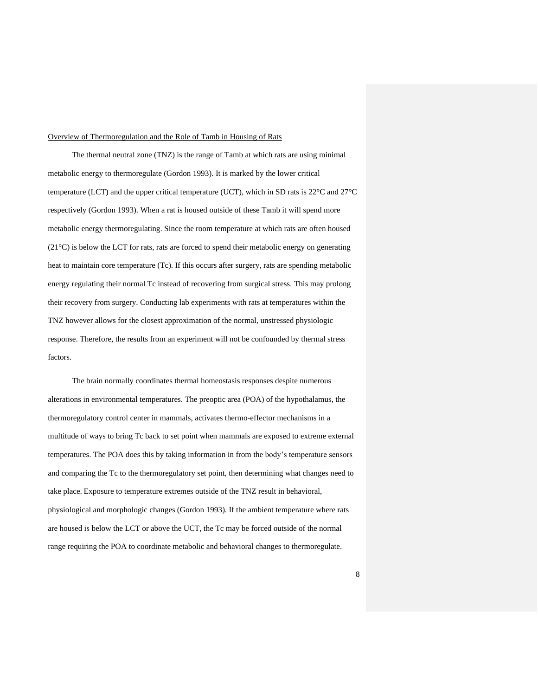#### Overview of Thermoregulation and the Role of Tamb in Housing of Rats

The thermal neutral zone (TNZ) is the range of Tamb at which rats are using minimal metabolic energy to thermoregulate (Gordon 1993). It is marked by the lower critical temperature (LCT) and the upper critical temperature (UCT), which in SD rats is 22°C and 27°C respectively (Gordon 1993). When a rat is housed outside of these Tamb it will spend more metabolic energy thermoregulating. Since the room temperature at which rats are often housed (21°C) is below the LCT for rats, rats are forced to spend their metabolic energy on generating heat to maintain core temperature (Tc). If this occurs after surgery, rats are spending metabolic energy regulating their normal Tc instead of recovering from surgical stress. This may prolong their recovery from surgery. Conducting lab experiments with rats at temperatures within the TNZ however allows for the closest approximation of the normal, unstressed physiologic response. Therefore, the results from an experiment will not be confounded by thermal stress factors.

The brain normally coordinates thermal homeostasis responses despite numerous alterations in environmental temperatures. The preoptic area (POA) of the hypothalamus, the thermoregulatory control center in mammals, activates thermo-effector mechanisms in a multitude of ways to bring Tc back to set point when mammals are exposed to extreme external temperatures. The POA does this by taking information in from the body's temperature sensors and comparing the Tc to the thermoregulatory set point, then determining what changes need to take place. Exposure to temperature extremes outside of the TNZ result in behavioral, physiological and morphologic changes (Gordon 1993). If the ambient temperature where rats are housed is below the LCT or above the UCT, the Tc may be forced outside of the normal range requiring the POA to coordinate metabolic and behavioral changes to thermoregulate.

8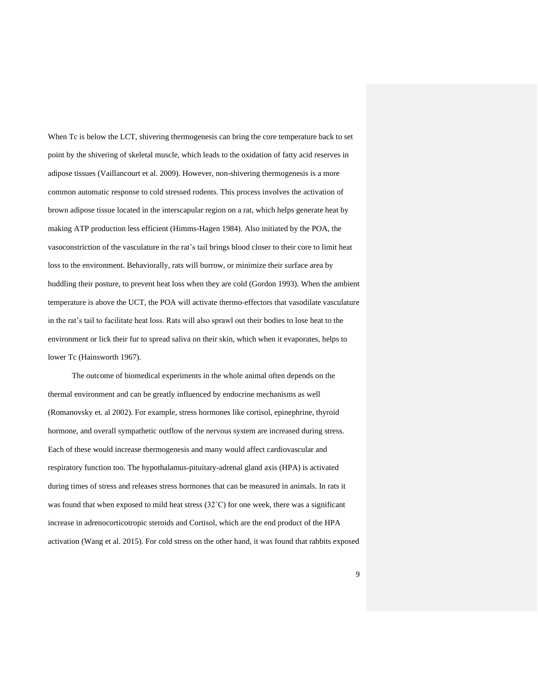When Tc is below the LCT, shivering thermogenesis can bring the core temperature back to set point by the shivering of skeletal muscle, which leads to the oxidation of fatty acid reserves in adipose tissues (Vaillancourt et al. 2009). However, non-shivering thermogenesis is a more common automatic response to cold stressed rodents. This process involves the activation of brown adipose tissue located in the interscapular region on a rat, which helps generate heat by making ATP production less efficient (Himms-Hagen 1984). Also initiated by the POA, the vasoconstriction of the vasculature in the rat's tail brings blood closer to their core to limit heat loss to the environment. Behaviorally, rats will burrow, or minimize their surface area by huddling their posture, to prevent heat loss when they are cold (Gordon 1993). When the ambient temperature is above the UCT, the POA will activate thermo-effectors that vasodilate vasculature in the rat's tail to facilitate heat loss. Rats will also sprawl out their bodies to lose heat to the environment or lick their fur to spread saliva on their skin, which when it evaporates, helps to lower Tc (Hainsworth 1967).

The outcome of biomedical experiments in the whole animal often depends on the thermal environment and can be greatly influenced by endocrine mechanisms as well (Romanovsky et. al 2002). For example, stress hormones like cortisol, epinephrine, thyroid hormone, and overall sympathetic outflow of the nervous system are increased during stress. Each of these would increase thermogenesis and many would affect cardiovascular and respiratory function too. The hypothalamus-pituitary-adrenal gland axis (HPA) is activated during times of stress and releases stress hormones that can be measured in animals. In rats it was found that when exposed to mild heat stress  $(32^{\circ}C)$  for one week, there was a significant increase in adrenocorticotropic steroids and Cortisol, which are the end product of the HPA activation (Wang et al. 2015). For cold stress on the other hand, it was found that rabbits exposed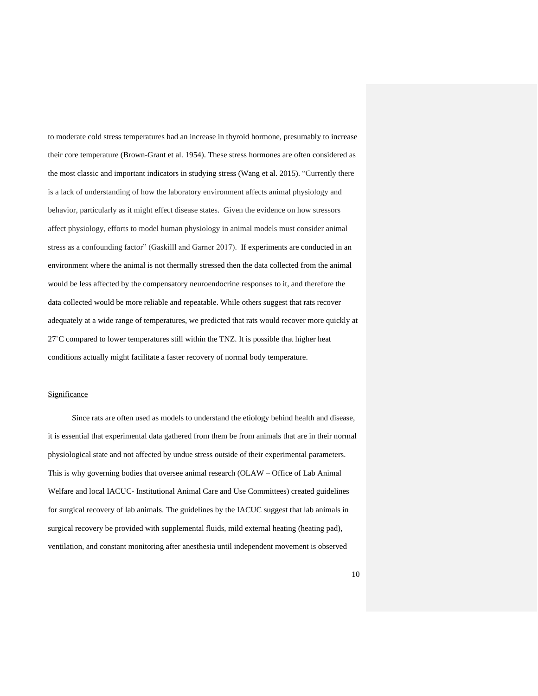to moderate cold stress temperatures had an increase in thyroid hormone, presumably to increase their core temperature (Brown-Grant et al. 1954). These stress hormones are often considered as the most classic and important indicators in studying stress (Wang et al. 2015). "Currently there is a lack of understanding of how the laboratory environment affects animal physiology and behavior, particularly as it might effect disease states. Given the evidence on how stressors affect physiology, efforts to model human physiology in animal models must consider animal stress as a confounding factor" (Gaskilll and Garner 2017). If experiments are conducted in an environment where the animal is not thermally stressed then the data collected from the animal would be less affected by the compensatory neuroendocrine responses to it, and therefore the data collected would be more reliable and repeatable. While others suggest that rats recover adequately at a wide range of temperatures, we predicted that rats would recover more quickly at 27˚C compared to lower temperatures still within the TNZ. It is possible that higher heat conditions actually might facilitate a faster recovery of normal body temperature.

#### Significance

Since rats are often used as models to understand the etiology behind health and disease, it is essential that experimental data gathered from them be from animals that are in their normal physiological state and not affected by undue stress outside of their experimental parameters. This is why governing bodies that oversee animal research (OLAW – Office of Lab Animal Welfare and local IACUC- Institutional Animal Care and Use Committees) created guidelines for surgical recovery of lab animals. The guidelines by the IACUC suggest that lab animals in surgical recovery be provided with supplemental fluids, mild external heating (heating pad), ventilation, and constant monitoring after anesthesia until independent movement is observed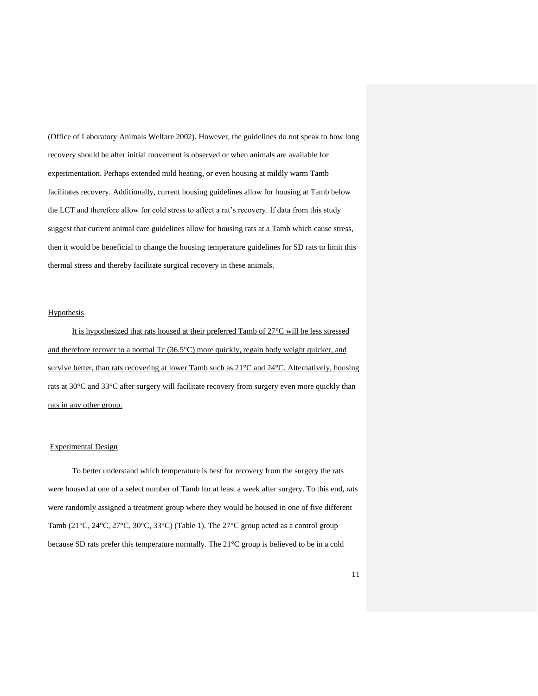(Office of Laboratory Animals Welfare 2002). However, the guidelines do not speak to how long recovery should be after initial movement is observed or when animals are available for experimentation. Perhaps extended mild heating, or even housing at mildly warm Tamb facilitates recovery. Additionally, current housing guidelines allow for housing at Tamb below the LCT and therefore allow for cold stress to affect a rat's recovery. If data from this study suggest that current animal care guidelines allow for housing rats at a Tamb which cause stress, then it would be beneficial to change the housing temperature guidelines for SD rats to limit this thermal stress and thereby facilitate surgical recovery in these animals.

#### Hypothesis

It is hypothesized that rats housed at their preferred Tamb of 27°C will be less stressed and therefore recover to a normal Tc (36.5°C) more quickly, regain body weight quicker, and survive better, than rats recovering at lower Tamb such as 21°C and 24°C. Alternatively, housing rats at 30°C and 33°C after surgery will facilitate recovery from surgery even more quickly than rats in any other group.

#### Experimental Design

To better understand which temperature is best for recovery from the surgery the rats were housed at one of a select number of Tamb for at least a week after surgery. To this end, rats were randomly assigned a treatment group where they would be housed in one of five different Tamb (21°C, 24°C, 27°C, 30°C, 33°C) (Table 1). The 27°C group acted as a control group because SD rats prefer this temperature normally. The 21°C group is believed to be in a cold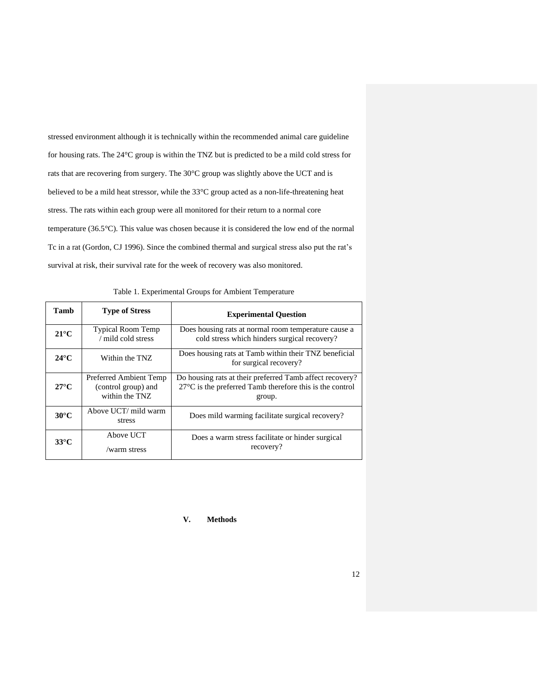stressed environment although it is technically within the recommended animal care guideline for housing rats. The 24°C group is within the TNZ but is predicted to be a mild cold stress for rats that are recovering from surgery. The 30°C group was slightly above the UCT and is believed to be a mild heat stressor, while the 33°C group acted as a non-life-threatening heat stress. The rats within each group were all monitored for their return to a normal core temperature (36.5°C). This value was chosen because it is considered the low end of the normal Tc in a rat (Gordon, CJ 1996). Since the combined thermal and surgical stress also put the rat's survival at risk, their survival rate for the week of recovery was also monitored.

| Tamb           | <b>Type of Stress</b>                                           | <b>Experimental Question</b>                                                                                                             |  |
|----------------|-----------------------------------------------------------------|------------------------------------------------------------------------------------------------------------------------------------------|--|
| $21^{\circ}$ C | <b>Typical Room Temp</b><br>/ mild cold stress                  | Does housing rats at normal room temperature cause a<br>cold stress which hinders surgical recovery?                                     |  |
| $24^{\circ}$ C | Within the TNZ                                                  | Does housing rats at Tamb within their TNZ beneficial<br>for surgical recovery?                                                          |  |
| $27^{\circ}$ C | Preferred Ambient Temp<br>(control group) and<br>within the TNZ | Do housing rats at their preferred Tamb affect recovery?<br>$27^{\circ}$ C is the preferred Tamb therefore this is the control<br>group. |  |
| $30^{\circ}$ C | Above UCT/ mild warm<br>stress                                  | Does mild warming facilitate surgical recovery?                                                                                          |  |
| $33^{\circ}$ C | Above UCT<br>/warm stress                                       | Does a warm stress facilitate or hinder surgical<br>recovery?                                                                            |  |

Table 1. Experimental Groups for Ambient Temperature

#### **V. Methods**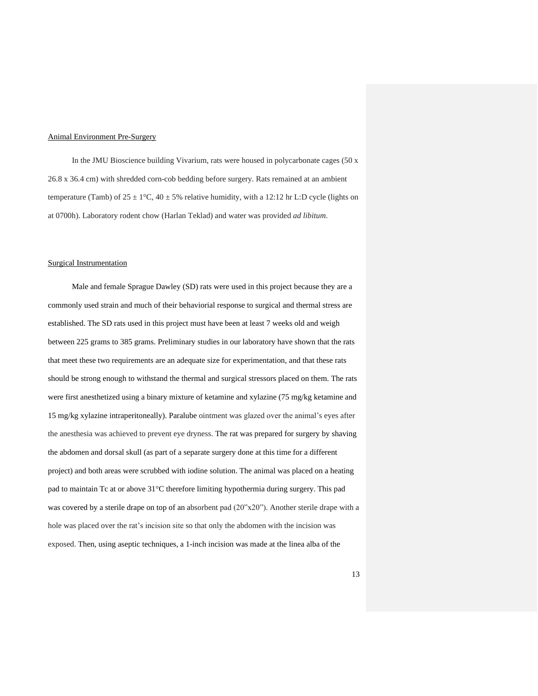#### Animal Environment Pre-Surgery

In the JMU Bioscience building Vivarium, rats were housed in polycarbonate cages (50 x 26.8 x 36.4 cm) with shredded corn-cob bedding before surgery. Rats remained at an ambient temperature (Tamb) of  $25 \pm 1\degree C$ ,  $40 \pm 5\%$  relative humidity, with a 12:12 hr L:D cycle (lights on at 0700h). Laboratory rodent chow (Harlan Teklad) and water was provided *ad libitum*.

#### Surgical Instrumentation

Male and female Sprague Dawley (SD) rats were used in this project because they are a commonly used strain and much of their behaviorial response to surgical and thermal stress are established. The SD rats used in this project must have been at least 7 weeks old and weigh between 225 grams to 385 grams. Preliminary studies in our laboratory have shown that the rats that meet these two requirements are an adequate size for experimentation, and that these rats should be strong enough to withstand the thermal and surgical stressors placed on them. The rats were first anesthetized using a binary mixture of ketamine and xylazine (75 mg/kg ketamine and 15 mg/kg xylazine intraperitoneally). Paralube ointment was glazed over the animal's eyes after the anesthesia was achieved to prevent eye dryness. The rat was prepared for surgery by shaving the abdomen and dorsal skull (as part of a separate surgery done at this time for a different project) and both areas were scrubbed with iodine solution. The animal was placed on a heating pad to maintain Tc at or above 31°C therefore limiting hypothermia during surgery. This pad was covered by a sterile drape on top of an absorbent pad (20"x20"). Another sterile drape with a hole was placed over the rat's incision site so that only the abdomen with the incision was exposed. Then, using aseptic techniques, a 1-inch incision was made at the linea alba of the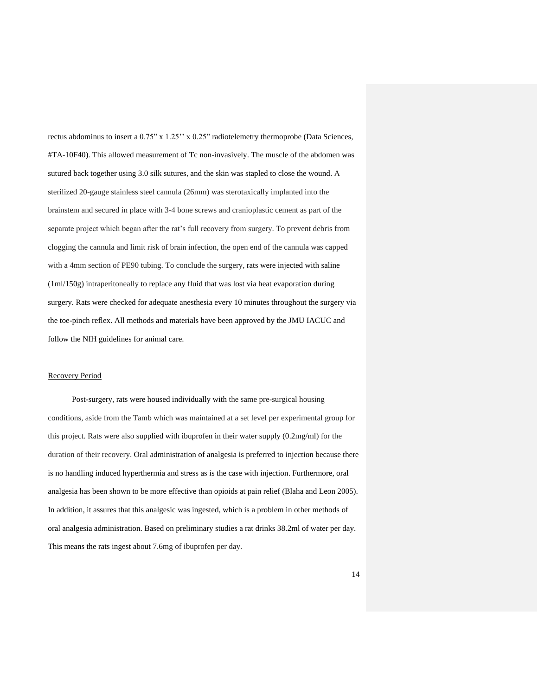rectus abdominus to insert a 0.75" x 1.25'' x 0.25" radiotelemetry thermoprobe (Data Sciences, #TA-10F40). This allowed measurement of Tc non-invasively. The muscle of the abdomen was sutured back together using 3.0 silk sutures, and the skin was stapled to close the wound. A sterilized 20-gauge stainless steel cannula (26mm) was sterotaxically implanted into the brainstem and secured in place with 3-4 bone screws and cranioplastic cement as part of the separate project which began after the rat's full recovery from surgery. To prevent debris from clogging the cannula and limit risk of brain infection, the open end of the cannula was capped with a 4mm section of PE90 tubing. To conclude the surgery, rats were injected with saline (1ml/150g) intraperitoneally to replace any fluid that was lost via heat evaporation during surgery. Rats were checked for adequate anesthesia every 10 minutes throughout the surgery via the toe-pinch reflex. All methods and materials have been approved by the JMU IACUC and follow the NIH guidelines for animal care.

#### Recovery Period

Post-surgery, rats were housed individually with the same pre-surgical housing conditions, aside from the Tamb which was maintained at a set level per experimental group for this project. Rats were also supplied with ibuprofen in their water supply (0.2mg/ml) for the duration of their recovery. Oral administration of analgesia is preferred to injection because there is no handling induced hyperthermia and stress as is the case with injection. Furthermore, oral analgesia has been shown to be more effective than opioids at pain relief (Blaha and Leon 2005). In addition, it assures that this analgesic was ingested, which is a problem in other methods of oral analgesia administration. Based on preliminary studies a rat drinks 38.2ml of water per day. This means the rats ingest about 7.6mg of ibuprofen per day.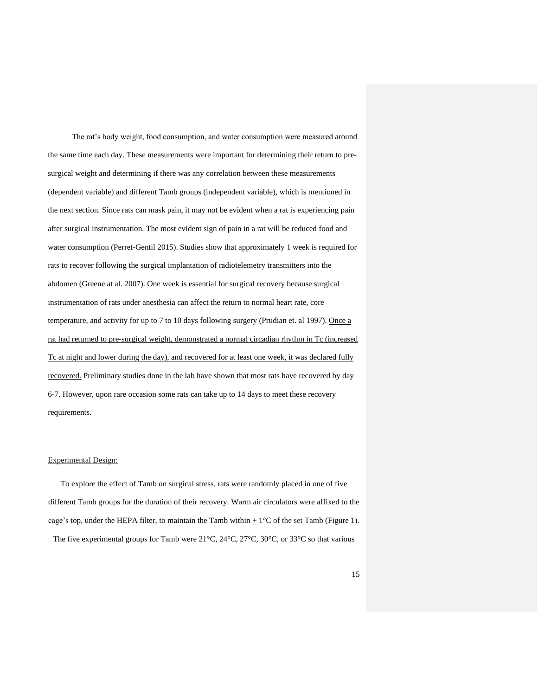The rat's body weight, food consumption, and water consumption were measured around the same time each day. These measurements were important for determining their return to presurgical weight and determining if there was any correlation between these measurements (dependent variable) and different Tamb groups (independent variable), which is mentioned in the next section. Since rats can mask pain, it may not be evident when a rat is experiencing pain after surgical instrumentation. The most evident sign of pain in a rat will be reduced food and water consumption (Perret-Gentil 2015). Studies show that approximately 1 week is required for rats to recover following the surgical implantation of radiotelemetry transmitters into the abdomen (Greene at al. 2007). One week is essential for surgical recovery because surgical instrumentation of rats under anesthesia can affect the return to normal heart rate, core temperature, and activity for up to 7 to 10 days following surgery (Prudian et. al 1997). Once a rat had returned to pre-surgical weight, demonstrated a normal circadian rhythm in Tc (increased Tc at night and lower during the day), and recovered for at least one week, it was declared fully recovered. Preliminary studies done in the lab have shown that most rats have recovered by day 6-7. However, upon rare occasion some rats can take up to 14 days to meet these recovery requirements.

#### Experimental Design:

To explore the effect of Tamb on surgical stress, rats were randomly placed in one of five different Tamb groups for the duration of their recovery. Warm air circulators were affixed to the cage's top, under the HEPA filter, to maintain the Tamb within  $\pm$  1°C of the set Tamb (Figure 1). The five experimental groups for Tamb were 21°C, 24°C, 27°C, 30°C, or 33°C so that various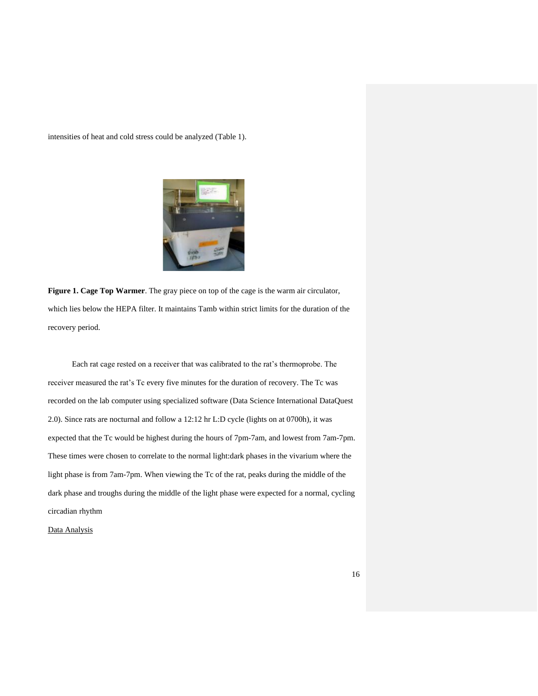intensities of heat and cold stress could be analyzed (Table 1).



**Figure 1. Cage Top Warmer**. The gray piece on top of the cage is the warm air circulator, which lies below the HEPA filter. It maintains Tamb within strict limits for the duration of the recovery period.

Each rat cage rested on a receiver that was calibrated to the rat's thermoprobe. The receiver measured the rat's Tc every five minutes for the duration of recovery. The Tc was recorded on the lab computer using specialized software (Data Science International DataQuest 2.0). Since rats are nocturnal and follow a 12:12 hr L:D cycle (lights on at 0700h), it was expected that the Tc would be highest during the hours of 7pm-7am, and lowest from 7am-7pm. These times were chosen to correlate to the normal light:dark phases in the vivarium where the light phase is from 7am-7pm. When viewing the Tc of the rat, peaks during the middle of the dark phase and troughs during the middle of the light phase were expected for a normal, cycling circadian rhythm

Data Analysis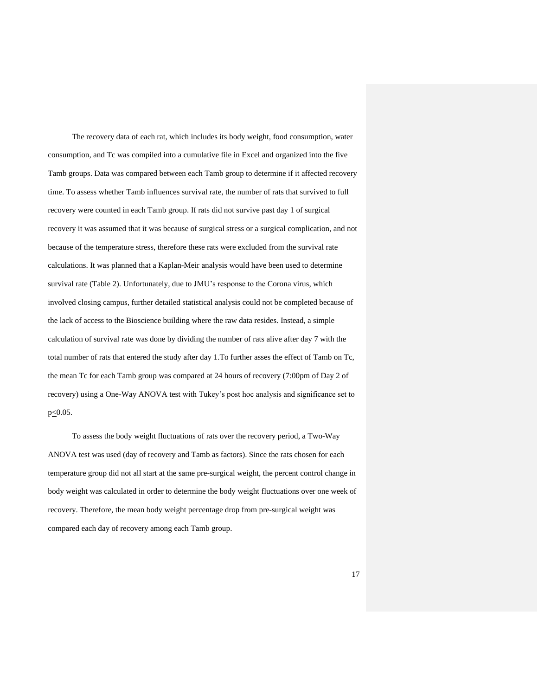The recovery data of each rat, which includes its body weight, food consumption, water consumption, and Tc was compiled into a cumulative file in Excel and organized into the five Tamb groups. Data was compared between each Tamb group to determine if it affected recovery time. To assess whether Tamb influences survival rate, the number of rats that survived to full recovery were counted in each Tamb group. If rats did not survive past day 1 of surgical recovery it was assumed that it was because of surgical stress or a surgical complication, and not because of the temperature stress, therefore these rats were excluded from the survival rate calculations. It was planned that a Kaplan-Meir analysis would have been used to determine survival rate (Table 2). Unfortunately, due to JMU's response to the Corona virus, which involved closing campus, further detailed statistical analysis could not be completed because of the lack of access to the Bioscience building where the raw data resides. Instead, a simple calculation of survival rate was done by dividing the number of rats alive after day 7 with the total number of rats that entered the study after day 1.To further asses the effect of Tamb on Tc, the mean Tc for each Tamb group was compared at 24 hours of recovery (7:00pm of Day 2 of recovery) using a One-Way ANOVA test with Tukey's post hoc analysis and significance set to p<0.05.

To assess the body weight fluctuations of rats over the recovery period, a Two-Way ANOVA test was used (day of recovery and Tamb as factors). Since the rats chosen for each temperature group did not all start at the same pre-surgical weight, the percent control change in body weight was calculated in order to determine the body weight fluctuations over one week of recovery. Therefore, the mean body weight percentage drop from pre-surgical weight was compared each day of recovery among each Tamb group.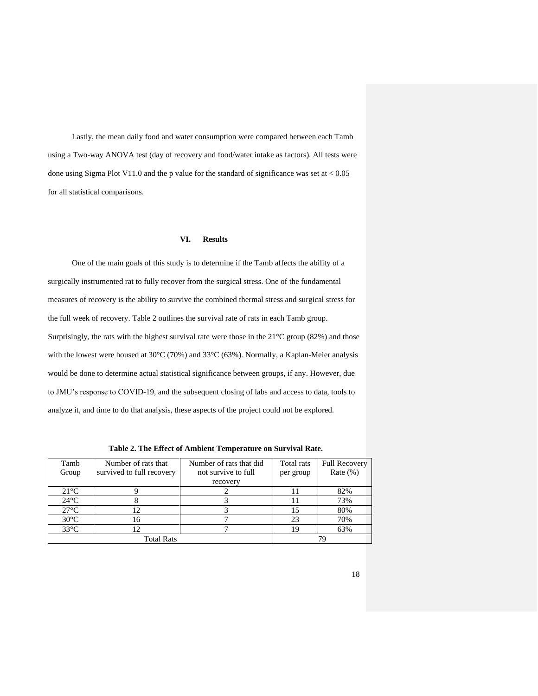Lastly, the mean daily food and water consumption were compared between each Tamb using a Two-way ANOVA test (day of recovery and food/water intake as factors). All tests were done using Sigma Plot V11.0 and the p value for the standard of significance was set at  $\leq 0.05$ for all statistical comparisons.

#### **VI. Results**

One of the main goals of this study is to determine if the Tamb affects the ability of a surgically instrumented rat to fully recover from the surgical stress. One of the fundamental measures of recovery is the ability to survive the combined thermal stress and surgical stress for the full week of recovery. Table 2 outlines the survival rate of rats in each Tamb group. Surprisingly, the rats with the highest survival rate were those in the 21°C group (82%) and those with the lowest were housed at 30°C (70%) and 33°C (63%). Normally, a Kaplan-Meier analysis would be done to determine actual statistical significance between groups, if any. However, due to JMU's response to COVID-19, and the subsequent closing of labs and access to data, tools to analyze it, and time to do that analysis, these aspects of the project could not be explored.

| Tamb           | Number of rats that       | Number of rats that did | Total rats | <b>Full Recovery</b> |
|----------------|---------------------------|-------------------------|------------|----------------------|
| Group          | survived to full recovery | not survive to full     | per group  | Rate $(\%)$          |
|                |                           | recovery                |            |                      |
| $21^{\circ}C$  |                           |                         |            | 82%                  |
| $24^{\circ}$ C |                           |                         |            | 73%                  |
| $27^{\circ}$ C | 12                        |                         |            | 80%                  |
| $30^{\circ}$ C | 16                        |                         | 23         | 70%                  |
| $33^{\circ}$ C | 12                        |                         | 19         | 63%                  |
|                | <b>Total Rats</b>         |                         |            |                      |

**Table 2. The Effect of Ambient Temperature on Survival Rate.**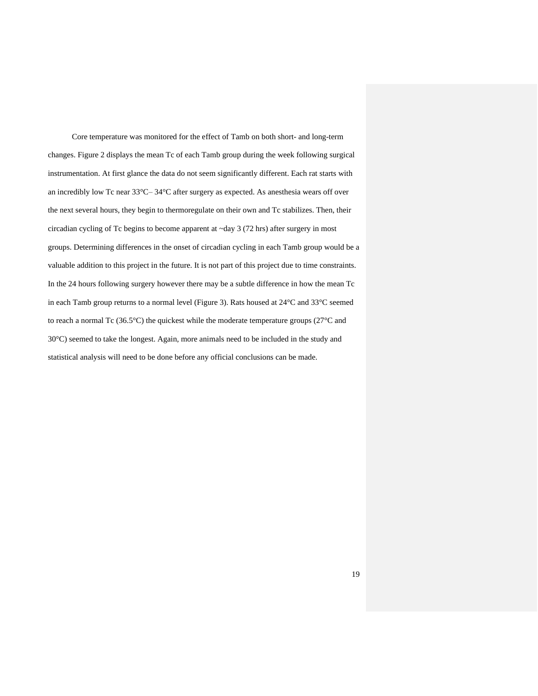Core temperature was monitored for the effect of Tamb on both short- and long-term changes. Figure 2 displays the mean Tc of each Tamb group during the week following surgical instrumentation. At first glance the data do not seem significantly different. Each rat starts with an incredibly low Tc near 33°C– 34°C after surgery as expected. As anesthesia wears off over the next several hours, they begin to thermoregulate on their own and Tc stabilizes. Then, their circadian cycling of Tc begins to become apparent at ~day 3 (72 hrs) after surgery in most groups. Determining differences in the onset of circadian cycling in each Tamb group would be a valuable addition to this project in the future. It is not part of this project due to time constraints. In the 24 hours following surgery however there may be a subtle difference in how the mean Tc in each Tamb group returns to a normal level (Figure 3). Rats housed at 24°C and 33°C seemed to reach a normal Tc (36.5°C) the quickest while the moderate temperature groups (27°C and 30°C) seemed to take the longest. Again, more animals need to be included in the study and statistical analysis will need to be done before any official conclusions can be made.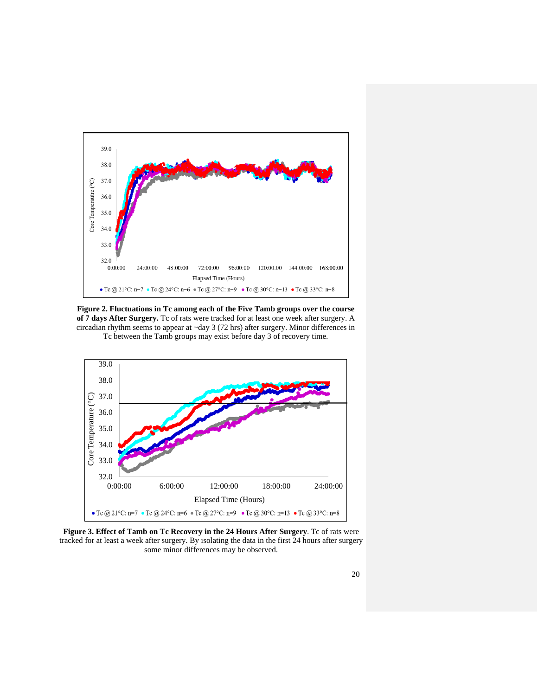

**Figure 2. Fluctuations in Tc among each of the Five Tamb groups over the course of 7 days After Surgery.** Tc of rats were tracked for at least one week after surgery. A circadian rhythm seems to appear at ~day 3 (72 hrs) after surgery. Minor differences in Tc between the Tamb groups may exist before day 3 of recovery time.



Figure 3. Effect of Tamb on Tc Recovery in the 24 Hours After Surgery. Tc of rats were tracked for at least a week after surgery. By isolating the data in the first 24 hours after surgery some minor differences may be observed.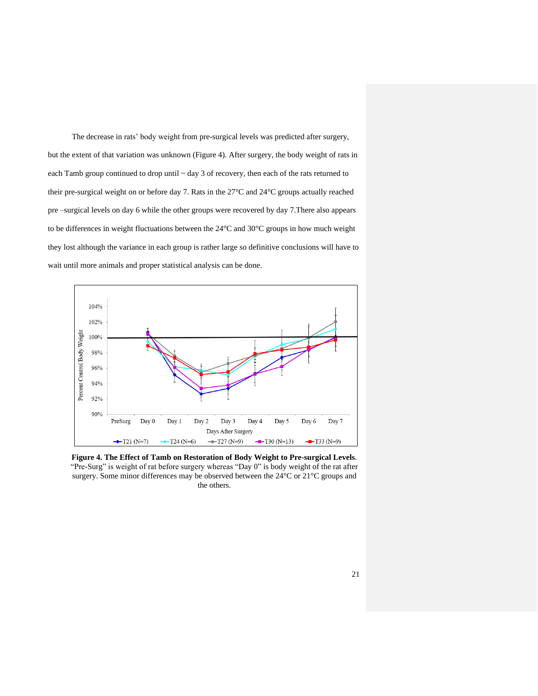The decrease in rats' body weight from pre-surgical levels was predicted after surgery, but the extent of that variation was unknown (Figure 4). After surgery, the body weight of rats in each Tamb group continued to drop until ~ day 3 of recovery, then each of the rats returned to their pre-surgical weight on or before day 7. Rats in the 27°C and 24°C groups actually reached pre –surgical levels on day 6 while the other groups were recovered by day 7.There also appears to be differences in weight fluctuations between the 24°C and 30°C groups in how much weight they lost although the variance in each group is rather large so definitive conclusions will have to wait until more animals and proper statistical analysis can be done.



**Figure 4. The Effect of Tamb on Restoration of Body Weight to Pre-surgical Levels**. "Pre-Surg" is weight of rat before surgery whereas "Day 0" is body weight of the rat after surgery. Some minor differences may be observed between the 24°C or 21°C groups and the others.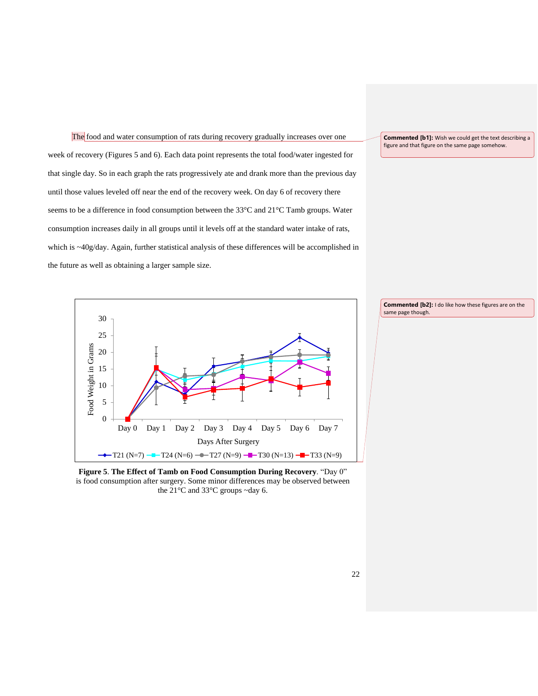The food and water consumption of rats during recovery gradually increases over one week of recovery (Figures 5 and 6). Each data point represents the total food/water ingested for that single day. So in each graph the rats progressively ate and drank more than the previous day until those values leveled off near the end of the recovery week. On day 6 of recovery there seems to be a difference in food consumption between the 33°C and 21°C Tamb groups. Water consumption increases daily in all groups until it levels off at the standard water intake of rats, which is ~40g/day. Again, further statistical analysis of these differences will be accomplished in the future as well as obtaining a larger sample size.

**Commented [b1]:** Wish we could get the text describing a figure and that figure on the same page somehow.



**Figure 5**. **The Effect of Tamb on Food Consumption During Recovery**. "Day 0" is food consumption after surgery. Some minor differences may be observed between the 21°C and 33°C groups ~day 6.

**Commented [b2]:** I do like how these figures are on the same page though.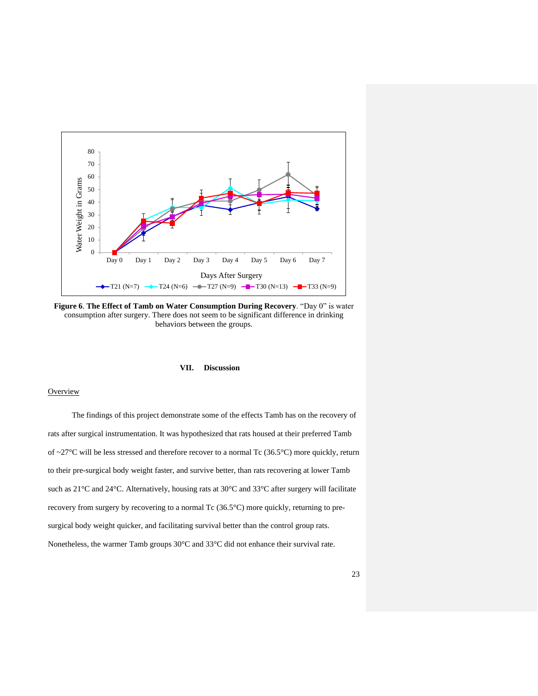

**Figure 6**. **The Effect of Tamb on Water Consumption During Recovery**. "Day 0" is water consumption after surgery. There does not seem to be significant difference in drinking behaviors between the groups.

#### **VII. Discussion**

#### **Overview**

The findings of this project demonstrate some of the effects Tamb has on the recovery of rats after surgical instrumentation. It was hypothesized that rats housed at their preferred Tamb of  $\sim$ 27°C will be less stressed and therefore recover to a normal Tc (36.5°C) more quickly, return to their pre-surgical body weight faster, and survive better, than rats recovering at lower Tamb such as 21°C and 24°C. Alternatively, housing rats at 30°C and 33°C after surgery will facilitate recovery from surgery by recovering to a normal Tc (36.5°C) more quickly, returning to presurgical body weight quicker, and facilitating survival better than the control group rats. Nonetheless, the warmer Tamb groups 30°C and 33°C did not enhance their survival rate.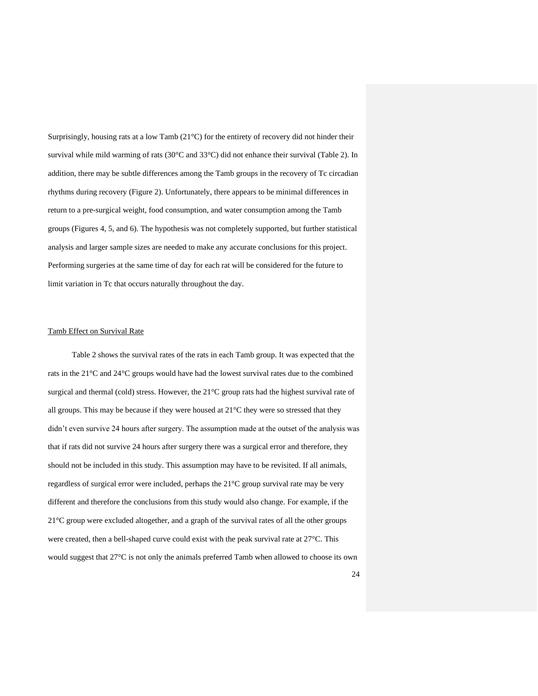Surprisingly, housing rats at a low Tamb (21°C) for the entirety of recovery did not hinder their survival while mild warming of rats (30°C and 33°C) did not enhance their survival (Table 2). In addition, there may be subtle differences among the Tamb groups in the recovery of Tc circadian rhythms during recovery (Figure 2). Unfortunately, there appears to be minimal differences in return to a pre-surgical weight, food consumption, and water consumption among the Tamb groups (Figures 4, 5, and 6). The hypothesis was not completely supported, but further statistical analysis and larger sample sizes are needed to make any accurate conclusions for this project. Performing surgeries at the same time of day for each rat will be considered for the future to limit variation in Tc that occurs naturally throughout the day.

#### Tamb Effect on Survival Rate

Table 2 shows the survival rates of the rats in each Tamb group. It was expected that the rats in the 21°C and 24°C groups would have had the lowest survival rates due to the combined surgical and thermal (cold) stress. However, the 21°C group rats had the highest survival rate of all groups. This may be because if they were housed at  $21^{\circ}$ C they were so stressed that they didn't even survive 24 hours after surgery. The assumption made at the outset of the analysis was that if rats did not survive 24 hours after surgery there was a surgical error and therefore, they should not be included in this study. This assumption may have to be revisited. If all animals, regardless of surgical error were included, perhaps the 21°C group survival rate may be very different and therefore the conclusions from this study would also change. For example, if the 21°C group were excluded altogether, and a graph of the survival rates of all the other groups were created, then a bell-shaped curve could exist with the peak survival rate at 27°C. This would suggest that 27°C is not only the animals preferred Tamb when allowed to choose its own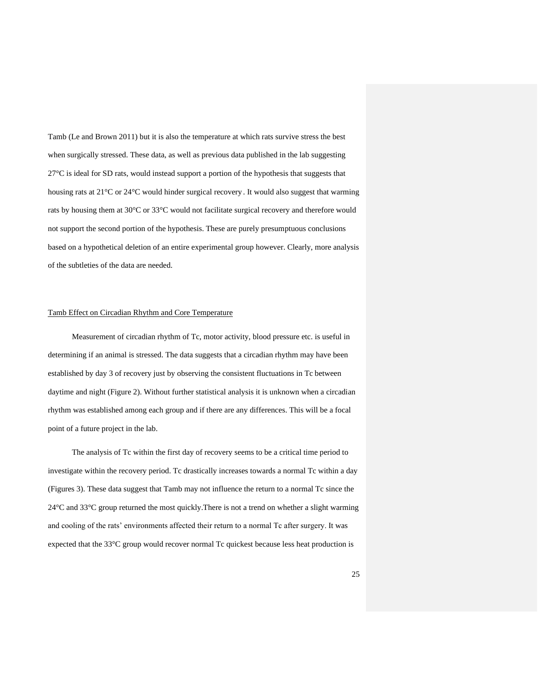Tamb (Le and Brown 2011) but it is also the temperature at which rats survive stress the best when surgically stressed. These data, as well as previous data published in the lab suggesting 27°C is ideal for SD rats, would instead support a portion of the hypothesis that suggests that housing rats at 21°C or 24°C would hinder surgical recovery . It would also suggest that warming rats by housing them at 30°C or 33°C would not facilitate surgical recovery and therefore would not support the second portion of the hypothesis. These are purely presumptuous conclusions based on a hypothetical deletion of an entire experimental group however. Clearly, more analysis of the subtleties of the data are needed.

#### Tamb Effect on Circadian Rhythm and Core Temperature

Measurement of circadian rhythm of Tc, motor activity, blood pressure etc. is useful in determining if an animal is stressed. The data suggests that a circadian rhythm may have been established by day 3 of recovery just by observing the consistent fluctuations in Tc between daytime and night (Figure 2). Without further statistical analysis it is unknown when a circadian rhythm was established among each group and if there are any differences. This will be a focal point of a future project in the lab.

The analysis of Tc within the first day of recovery seems to be a critical time period to investigate within the recovery period. Tc drastically increases towards a normal Tc within a day (Figures 3). These data suggest that Tamb may not influence the return to a normal Tc since the 24°C and 33°C group returned the most quickly.There is not a trend on whether a slight warming and cooling of the rats' environments affected their return to a normal Tc after surgery. It was expected that the 33°C group would recover normal Tc quickest because less heat production is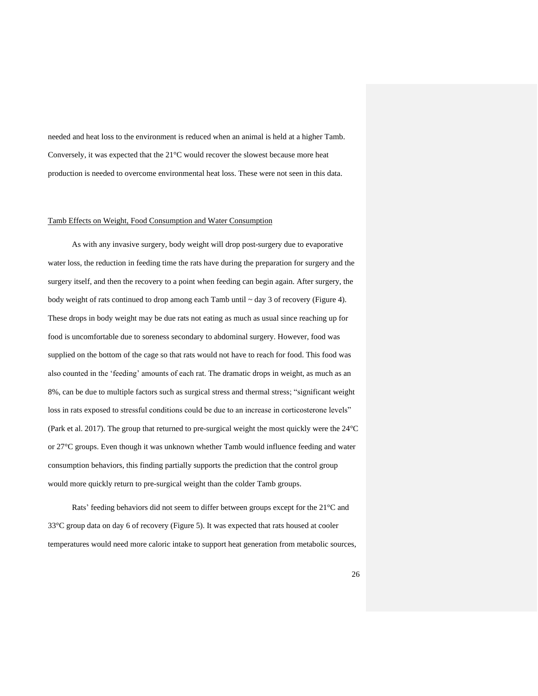needed and heat loss to the environment is reduced when an animal is held at a higher Tamb. Conversely, it was expected that the 21°C would recover the slowest because more heat production is needed to overcome environmental heat loss. These were not seen in this data.

#### Tamb Effects on Weight, Food Consumption and Water Consumption

As with any invasive surgery, body weight will drop post-surgery due to evaporative water loss, the reduction in feeding time the rats have during the preparation for surgery and the surgery itself, and then the recovery to a point when feeding can begin again. After surgery, the body weight of rats continued to drop among each Tamb until ~ day 3 of recovery (Figure 4). These drops in body weight may be due rats not eating as much as usual since reaching up for food is uncomfortable due to soreness secondary to abdominal surgery. However, food was supplied on the bottom of the cage so that rats would not have to reach for food. This food was also counted in the 'feeding' amounts of each rat. The dramatic drops in weight, as much as an 8%, can be due to multiple factors such as surgical stress and thermal stress; "significant weight loss in rats exposed to stressful conditions could be due to an increase in corticosterone levels" (Park et al. 2017). The group that returned to pre-surgical weight the most quickly were the 24°C or 27°C groups. Even though it was unknown whether Tamb would influence feeding and water consumption behaviors, this finding partially supports the prediction that the control group would more quickly return to pre-surgical weight than the colder Tamb groups.

Rats' feeding behaviors did not seem to differ between groups except for the 21°C and 33°C group data on day 6 of recovery (Figure 5). It was expected that rats housed at cooler temperatures would need more caloric intake to support heat generation from metabolic sources,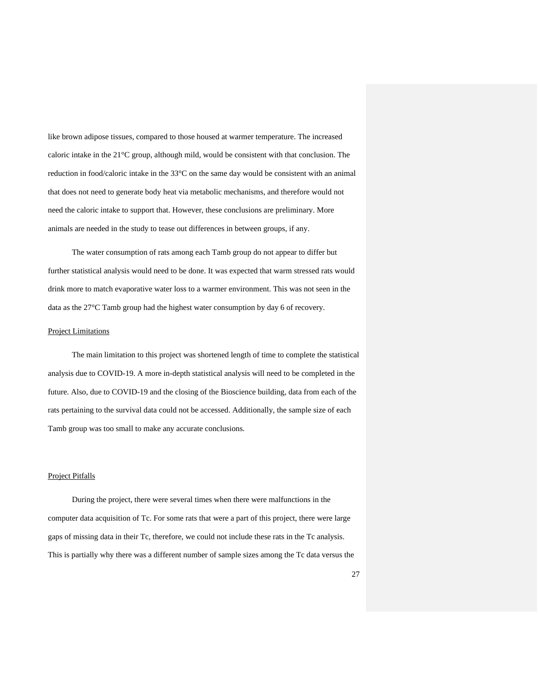like brown adipose tissues, compared to those housed at warmer temperature. The increased caloric intake in the 21°C group, although mild, would be consistent with that conclusion. The reduction in food/caloric intake in the 33°C on the same day would be consistent with an animal that does not need to generate body heat via metabolic mechanisms, and therefore would not need the caloric intake to support that. However, these conclusions are preliminary. More animals are needed in the study to tease out differences in between groups, if any.

The water consumption of rats among each Tamb group do not appear to differ but further statistical analysis would need to be done. It was expected that warm stressed rats would drink more to match evaporative water loss to a warmer environment. This was not seen in the data as the 27°C Tamb group had the highest water consumption by day 6 of recovery.

#### Project Limitations

The main limitation to this project was shortened length of time to complete the statistical analysis due to COVID-19. A more in-depth statistical analysis will need to be completed in the future. Also, due to COVID-19 and the closing of the Bioscience building, data from each of the rats pertaining to the survival data could not be accessed. Additionally, the sample size of each Tamb group was too small to make any accurate conclusions.

#### Project Pitfalls

During the project, there were several times when there were malfunctions in the computer data acquisition of Tc. For some rats that were a part of this project, there were large gaps of missing data in their Tc, therefore, we could not include these rats in the Tc analysis. This is partially why there was a different number of sample sizes among the Tc data versus the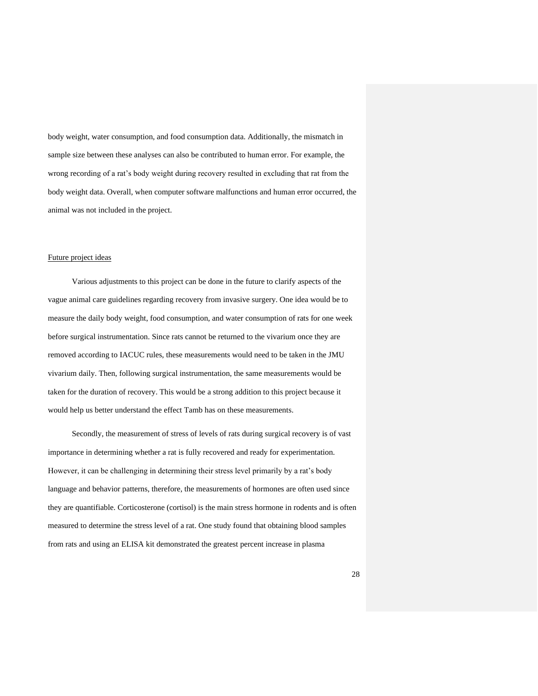body weight, water consumption, and food consumption data. Additionally, the mismatch in sample size between these analyses can also be contributed to human error. For example, the wrong recording of a rat's body weight during recovery resulted in excluding that rat from the body weight data. Overall, when computer software malfunctions and human error occurred, the animal was not included in the project.

#### Future project ideas

Various adjustments to this project can be done in the future to clarify aspects of the vague animal care guidelines regarding recovery from invasive surgery. One idea would be to measure the daily body weight, food consumption, and water consumption of rats for one week before surgical instrumentation. Since rats cannot be returned to the vivarium once they are removed according to IACUC rules, these measurements would need to be taken in the JMU vivarium daily. Then, following surgical instrumentation, the same measurements would be taken for the duration of recovery. This would be a strong addition to this project because it would help us better understand the effect Tamb has on these measurements.

Secondly, the measurement of stress of levels of rats during surgical recovery is of vast importance in determining whether a rat is fully recovered and ready for experimentation. However, it can be challenging in determining their stress level primarily by a rat's body language and behavior patterns, therefore, the measurements of hormones are often used since they are quantifiable. Corticosterone (cortisol) is the main stress hormone in rodents and is often measured to determine the stress level of a rat. One study found that obtaining blood samples from rats and using an ELISA kit demonstrated the greatest percent increase in plasma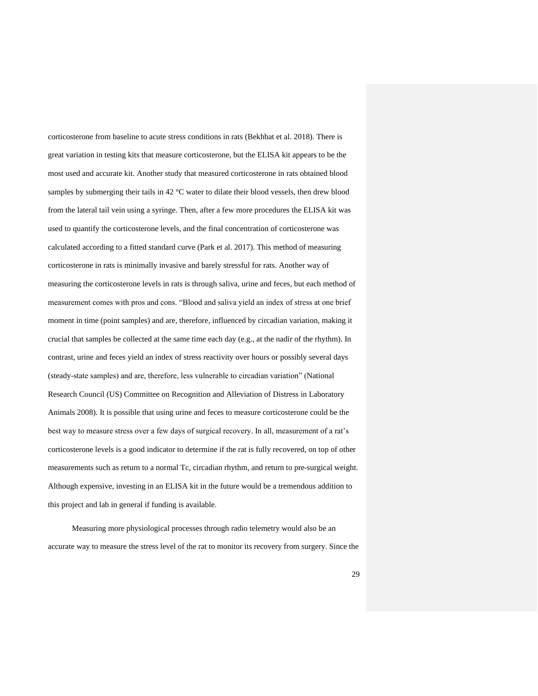corticosterone from baseline to acute stress conditions in rats (Bekhbat et al. 2018). There is great variation in testing kits that measure corticosterone, but the ELISA kit appears to be the most used and accurate kit. Another study that measured corticosterone in rats obtained blood samples by submerging their tails in 42 °C water to dilate their blood vessels, then drew blood from the lateral tail vein using a syringe. Then, after a few more procedures the ELISA kit was used to quantify the corticosterone levels, and the final concentration of corticosterone was calculated according to a fitted standard curve (Park et al. 2017). This method of measuring corticosterone in rats is minimally invasive and barely stressful for rats. Another way of measuring the corticosterone levels in rats is through saliva, urine and feces, but each method of measurement comes with pros and cons. "Blood and saliva yield an index of stress at one brief moment in time (point samples) and are, therefore, influenced by circadian variation, making it crucial that samples be collected at the same time each day (e.g., at the nadir of the rhythm). In contrast, urine and feces yield an index of stress reactivity over hours or possibly several days (steady-state samples) and are, therefore, less vulnerable to circadian variation" (National Research Council (US) Committee on Recognition and Alleviation of Distress in Laboratory Animals 2008). It is possible that using urine and feces to measure corticosterone could be the best way to measure stress over a few days of surgical recovery. In all, measurement of a rat's corticosterone levels is a good indicator to determine if the rat is fully recovered, on top of other measurements such as return to a normal Tc, circadian rhythm, and return to pre-surgical weight. Although expensive, investing in an ELISA kit in the future would be a tremendous addition to this project and lab in general if funding is available.

Measuring more physiological processes through radio telemetry would also be an accurate way to measure the stress level of the rat to monitor its recovery from surgery. Since the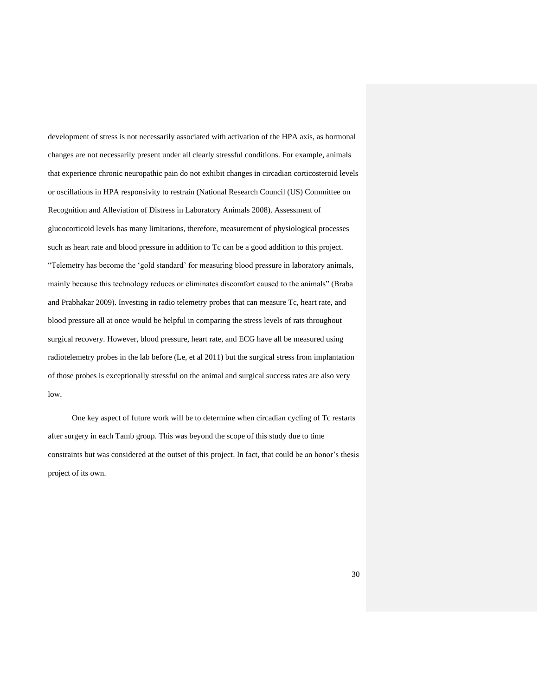development of stress is not necessarily associated with activation of the HPA axis, as hormonal changes are not necessarily present under all clearly stressful conditions. For example, animals that experience chronic neuropathic pain do not exhibit changes in circadian corticosteroid levels or oscillations in HPA responsivity to restrain (National Research Council (US) Committee on Recognition and Alleviation of Distress in Laboratory Animals 2008). Assessment of glucocorticoid levels has many limitations, therefore, measurement of physiological processes such as heart rate and blood pressure in addition to Tc can be a good addition to this project. "Telemetry has become the 'gold standard' for measuring blood pressure in laboratory animals, mainly because this technology reduces or eliminates discomfort caused to the animals" (Braba and Prabhakar 2009). Investing in radio telemetry probes that can measure Tc, heart rate, and blood pressure all at once would be helpful in comparing the stress levels of rats throughout surgical recovery. However, blood pressure, heart rate, and ECG have all be measured using radiotelemetry probes in the lab before (Le, et al 2011) but the surgical stress from implantation of those probes is exceptionally stressful on the animal and surgical success rates are also very low.

One key aspect of future work will be to determine when circadian cycling of Tc restarts after surgery in each Tamb group. This was beyond the scope of this study due to time constraints but was considered at the outset of this project. In fact, that could be an honor's thesis project of its own.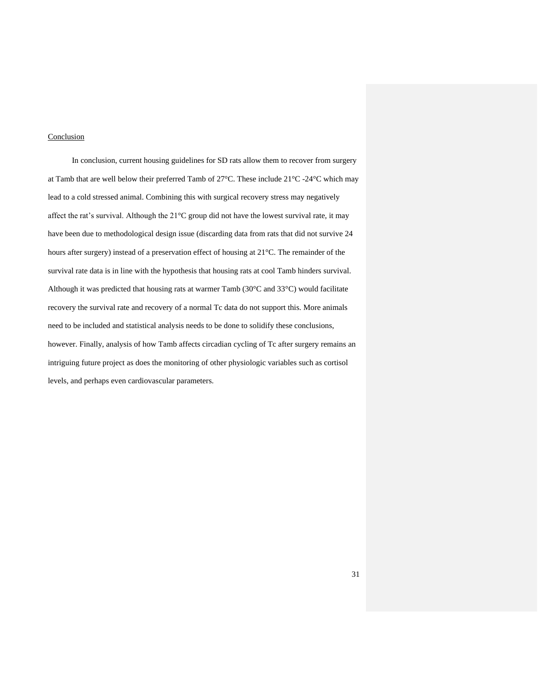#### **Conclusion**

In conclusion, current housing guidelines for SD rats allow them to recover from surgery at Tamb that are well below their preferred Tamb of 27°C. These include 21°C -24°C which may lead to a cold stressed animal. Combining this with surgical recovery stress may negatively affect the rat's survival. Although the  $21^{\circ}$ C group did not have the lowest survival rate, it may have been due to methodological design issue (discarding data from rats that did not survive 24 hours after surgery) instead of a preservation effect of housing at 21°C. The remainder of the survival rate data is in line with the hypothesis that housing rats at cool Tamb hinders survival. Although it was predicted that housing rats at warmer Tamb (30°C and 33°C) would facilitate recovery the survival rate and recovery of a normal Tc data do not support this. More animals need to be included and statistical analysis needs to be done to solidify these conclusions, however. Finally, analysis of how Tamb affects circadian cycling of Tc after surgery remains an intriguing future project as does the monitoring of other physiologic variables such as cortisol levels, and perhaps even cardiovascular parameters.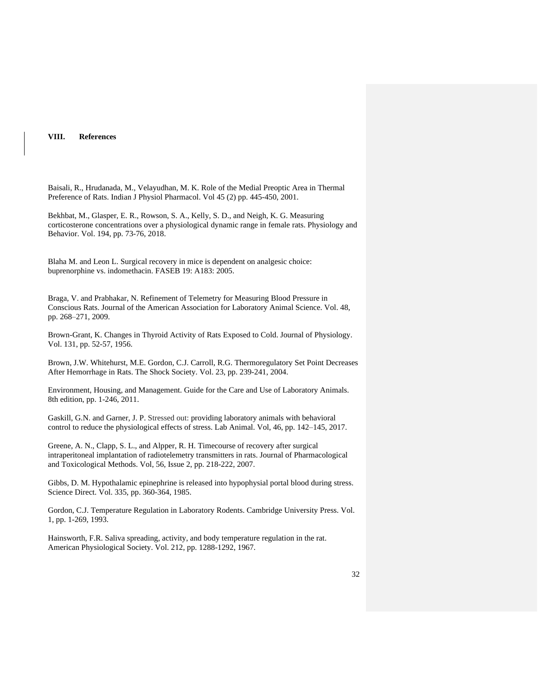#### **VIII. References**

Baisali, R., Hrudanada, M., Velayudhan, M. K. Role of the Medial Preoptic Area in Thermal Preference of Rats. Indian J Physiol Pharmacol. Vol 45 (2) pp. 445-450, 2001.

Bekhbat, M., Glasper, E. R., Rowson, S. A., Kelly, S. D., and Neigh, K. G. Measuring corticosterone concentrations over a physiological dynamic range in female rats. Physiology and Behavior. Vol. 194, pp. 73-76, 2018.

Blaha M. and Leon L. Surgical recovery in mice is dependent on analgesic choice: buprenorphine vs. indomethacin. FASEB 19: A183: 2005.

Braga, V. and Prabhakar, N. Refinement of Telemetry for Measuring Blood Pressure in Conscious Rats. Journal of the American Association for Laboratory Animal Science. Vol. 48, pp. 268–271, 2009.

Brown-Grant, K. Changes in Thyroid Activity of Rats Exposed to Cold. Journal of Physiology. Vol. 131, pp. 52-57, 1956.

Brown, J.W. Whitehurst, M.E. Gordon, C.J. Carroll, R.G. Thermoregulatory Set Point Decreases After Hemorrhage in Rats. The Shock Society. Vol. 23, pp. 239-241, 2004.

Environment, Housing, and Management. Guide for the Care and Use of Laboratory Animals. 8th edition, pp. 1-246, 2011.

Gaskill, G.N. and Garner, J. P. Stressed out: providing laboratory animals with behavioral control to reduce the physiological effects of stress. [Lab Animal.](https://www.nature.com/laban) Vol, 46, pp. 142–145, 2017.

Greene, A. N., Clapp, S. L., and Alpper, R. H. Timecourse of recovery after surgical intraperitoneal implantation of radiotelemetry transmitters in rats. Journal [of Pharmacological](https://www.sciencedirect.com/science/journal/10568719)  [and Toxicological Methods.](https://www.sciencedirect.com/science/journal/10568719) [Vol, 56, Issue 2,](https://www.sciencedirect.com/science/journal/10568719/56/2) pp. 218-222, 2007.

Gibbs, D. M. Hypothalamic epinephrine is released into hypophysial portal blood during stress. Science Direct. Vol. 335, pp. 360-364, 1985.

Gordon, C.J. Temperature Regulation in Laboratory Rodents. Cambridge University Press. Vol. 1, pp. 1-269, 1993.

Hainsworth, F.R. Saliva spreading, activity, and body temperature regulation in the rat. American Physiological Society. Vol. 212, pp. 1288-1292, 1967.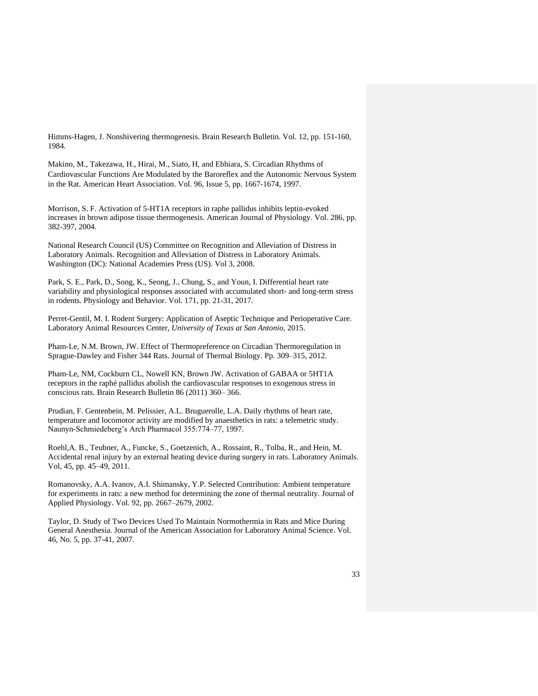Himms-Hagen, J. Nonshivering thermogenesis. Brain Research Bulletin. Vol. 12, pp. 151-160, 1984.

Makino, M., [Takezawa, H., Hirai,](https://www.ahajournals.org/doi/full/10.1161/01.CIR.96.5.1667) M., Siato, H, and Ebhiara, S. Circadian Rhythms of Cardiovascular Functions Are Modulated by the Baroreflex and the Autonomic Nervous System in the Rat. American Heart Association. Vol. 96, Issue 5, pp. 1667-1674, 1997.

Morrison, S. F. Activation of 5-HT1A receptors in raphe pallidus inhibits leptin-evoked increases in brown adipose tissue thermogenesis. American Journal of Physiology. Vol. 286, pp. 382-397, 2004.

National Research Council (US) Committee on Recognition and Alleviation of Distress in Laboratory Animals. Recognition and Alleviation of Distress in Laboratory Animals. Washington (DC): National Academies Press (US). Vol 3, 2008.

Park, S. E., Park, D., Song, K., Seong, J., Chung, S., and Youn, I. Differential heart rate variability and physiological responses associated with accumulated short- and long-term stress in rodents. Physiology and Behavior. Vol. 171, pp. 21-31, 2017.

Perret-Gentil, M. I. Rodent Surgery: Application of Aseptic Technique and Perioperative Care. Laboratory Animal Resources Center, *University of Texas at San Antonio,* 2015.

Pham-Le, N.M. Brown, JW. Effect of Thermopreference on Circadian Thermoregulation in Sprague-Dawley and Fisher 344 Rats. Journal of Thermal Biology. Pp. 309–315, 2012.

Pham-Le, NM, Cockburn CL, Nowell KN, Brown JW. Activation of GABAA or 5HT1A receptors in the raphé pallidus abolish the cardiovascular responses to exogenous stress in conscious rats. Brain Research Bulletin 86 (2011) 360– 366.

Prudian, F. Gentenbein, M. Pelissier, A.L. Bruguerolle, L.A. Daily rhythms of heart rate, temperature and locomotor activity are modified by anaesthetics in rats: a telemetric study. Naunyn-Schmiedeberg's Arch Pharmacol 355:774–77, 1997.

Roehl,A. B., Teubner, A., Funcke, S., Goetzenich, A., Rossaint, R., Tolba, R., and Hein, M. Accidental renal injury by an external heating device during surgery in rats. Laboratory Animals. Vol, 45, pp. 45–49, 2011.

Romanovsky, A.A. Ivanov, A.I. Shimansky, Y.P. Selected Contribution: Ambient temperature for experiments in rats: a new method for determining the zone of thermal neutrality. Journal of Applied Physiology. Vol. 92, pp. 2667–2679, 2002.

Taylor, D. Study of Two Devices Used To Maintain Normothermia in Rats and Mice During General Anesthesia. Journal of the American Association for Laboratory Animal Science. Vol. 46, No. 5, pp. 37-41, 2007.